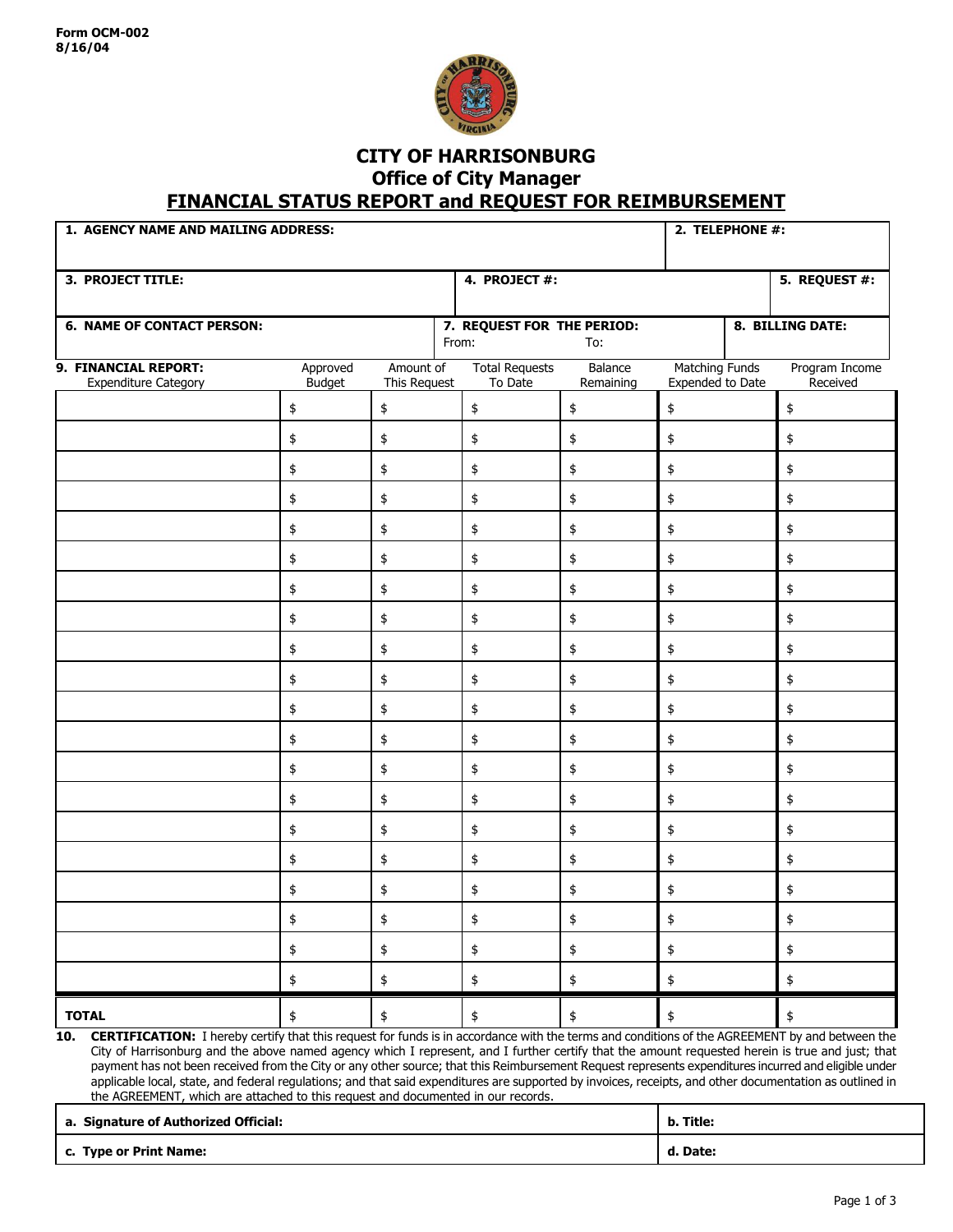

## **CITY OF HARRISONBURG Office of City Manager FINANCIAL STATUS REPORT and REQUEST FOR REIMBURSEMENT**

| <b>3. PROJECT TITLE:</b>                                                                                                                                                                                                                                                                                                                                                                                                                                                                                                                                                                                                             |                           |                           | 4. PROJECT #:                       |                      |                                           | 5. REQUEST #:              |
|--------------------------------------------------------------------------------------------------------------------------------------------------------------------------------------------------------------------------------------------------------------------------------------------------------------------------------------------------------------------------------------------------------------------------------------------------------------------------------------------------------------------------------------------------------------------------------------------------------------------------------------|---------------------------|---------------------------|-------------------------------------|----------------------|-------------------------------------------|----------------------------|
| <b>6. NAME OF CONTACT PERSON:</b>                                                                                                                                                                                                                                                                                                                                                                                                                                                                                                                                                                                                    |                           |                           | 7. REQUEST FOR THE PERIOD:<br>From: | To:                  |                                           | 8. BILLING DATE:           |
| 9. FINANCIAL REPORT:<br><b>Expenditure Category</b>                                                                                                                                                                                                                                                                                                                                                                                                                                                                                                                                                                                  | Approved<br><b>Budget</b> | Amount of<br>This Request | <b>Total Requests</b><br>To Date    | Balance<br>Remaining | <b>Matching Funds</b><br>Expended to Date | Program Income<br>Received |
|                                                                                                                                                                                                                                                                                                                                                                                                                                                                                                                                                                                                                                      | \$                        | \$                        | \$                                  | \$                   | \$                                        | \$                         |
|                                                                                                                                                                                                                                                                                                                                                                                                                                                                                                                                                                                                                                      | \$                        | \$                        | \$                                  | \$                   | \$                                        | \$                         |
|                                                                                                                                                                                                                                                                                                                                                                                                                                                                                                                                                                                                                                      | \$                        | \$                        | \$                                  | \$                   | \$                                        | \$                         |
|                                                                                                                                                                                                                                                                                                                                                                                                                                                                                                                                                                                                                                      | \$                        | \$                        | \$                                  | \$                   | \$                                        | \$                         |
|                                                                                                                                                                                                                                                                                                                                                                                                                                                                                                                                                                                                                                      | \$                        | \$                        | \$                                  | \$                   | \$                                        | \$                         |
|                                                                                                                                                                                                                                                                                                                                                                                                                                                                                                                                                                                                                                      | \$                        | \$                        | \$                                  | \$                   | \$                                        | \$                         |
|                                                                                                                                                                                                                                                                                                                                                                                                                                                                                                                                                                                                                                      | \$                        | \$                        | \$                                  | \$                   | \$                                        | \$                         |
|                                                                                                                                                                                                                                                                                                                                                                                                                                                                                                                                                                                                                                      | \$                        | \$                        | \$                                  | \$                   | \$                                        | \$                         |
|                                                                                                                                                                                                                                                                                                                                                                                                                                                                                                                                                                                                                                      | \$                        | \$                        | \$                                  | \$                   | \$                                        | \$                         |
|                                                                                                                                                                                                                                                                                                                                                                                                                                                                                                                                                                                                                                      | \$                        | \$                        | \$                                  | \$                   | \$                                        | \$                         |
|                                                                                                                                                                                                                                                                                                                                                                                                                                                                                                                                                                                                                                      | \$                        | \$                        | \$                                  | \$                   | \$                                        | \$                         |
|                                                                                                                                                                                                                                                                                                                                                                                                                                                                                                                                                                                                                                      | \$                        | \$                        | \$                                  | \$                   | \$                                        | \$                         |
|                                                                                                                                                                                                                                                                                                                                                                                                                                                                                                                                                                                                                                      | \$                        | \$                        | \$                                  | \$                   | \$                                        | \$                         |
|                                                                                                                                                                                                                                                                                                                                                                                                                                                                                                                                                                                                                                      | \$                        | \$                        | \$                                  | \$                   | \$                                        | \$                         |
|                                                                                                                                                                                                                                                                                                                                                                                                                                                                                                                                                                                                                                      | \$                        | \$                        | \$                                  | \$                   | \$                                        | \$                         |
|                                                                                                                                                                                                                                                                                                                                                                                                                                                                                                                                                                                                                                      | \$                        | \$                        | \$                                  | \$                   | \$                                        | \$                         |
|                                                                                                                                                                                                                                                                                                                                                                                                                                                                                                                                                                                                                                      | \$                        | \$                        | \$                                  | \$                   | \$                                        | \$                         |
|                                                                                                                                                                                                                                                                                                                                                                                                                                                                                                                                                                                                                                      | \$                        | \$                        |                                     | \$                   | \$                                        | \$                         |
|                                                                                                                                                                                                                                                                                                                                                                                                                                                                                                                                                                                                                                      | \$                        | \$                        | \$                                  | \$                   | \$                                        | \$                         |
|                                                                                                                                                                                                                                                                                                                                                                                                                                                                                                                                                                                                                                      | \$                        | \$                        | \$                                  | \$                   | \$                                        | \$                         |
| <b>TOTAL</b>                                                                                                                                                                                                                                                                                                                                                                                                                                                                                                                                                                                                                         | \$                        | \$                        | \$                                  | \$                   | \$                                        | \$                         |
| <b>CERTIFICATION:</b> I hereby certify that this request for funds is in accordance with the terms and conditions of the AGREEMENT by and between the<br>10.<br>City of Harrisonburg and the above named agency which I represent, and I further certify that the amount requested herein is true and just; that<br>payment has not been received from the City or any other source; that this Reimbursement Request represents expenditures incurred and eligible under<br>applicable local, state, and federal regulations; and that said expenditures are supported by invoices, receipts, and other documentation as outlined in |                           |                           |                                     |                      |                                           |                            |

| a. Signature of Authorized Official: | b. Title: |
|--------------------------------------|-----------|
| c. Type or Print Name:               | d. Date:  |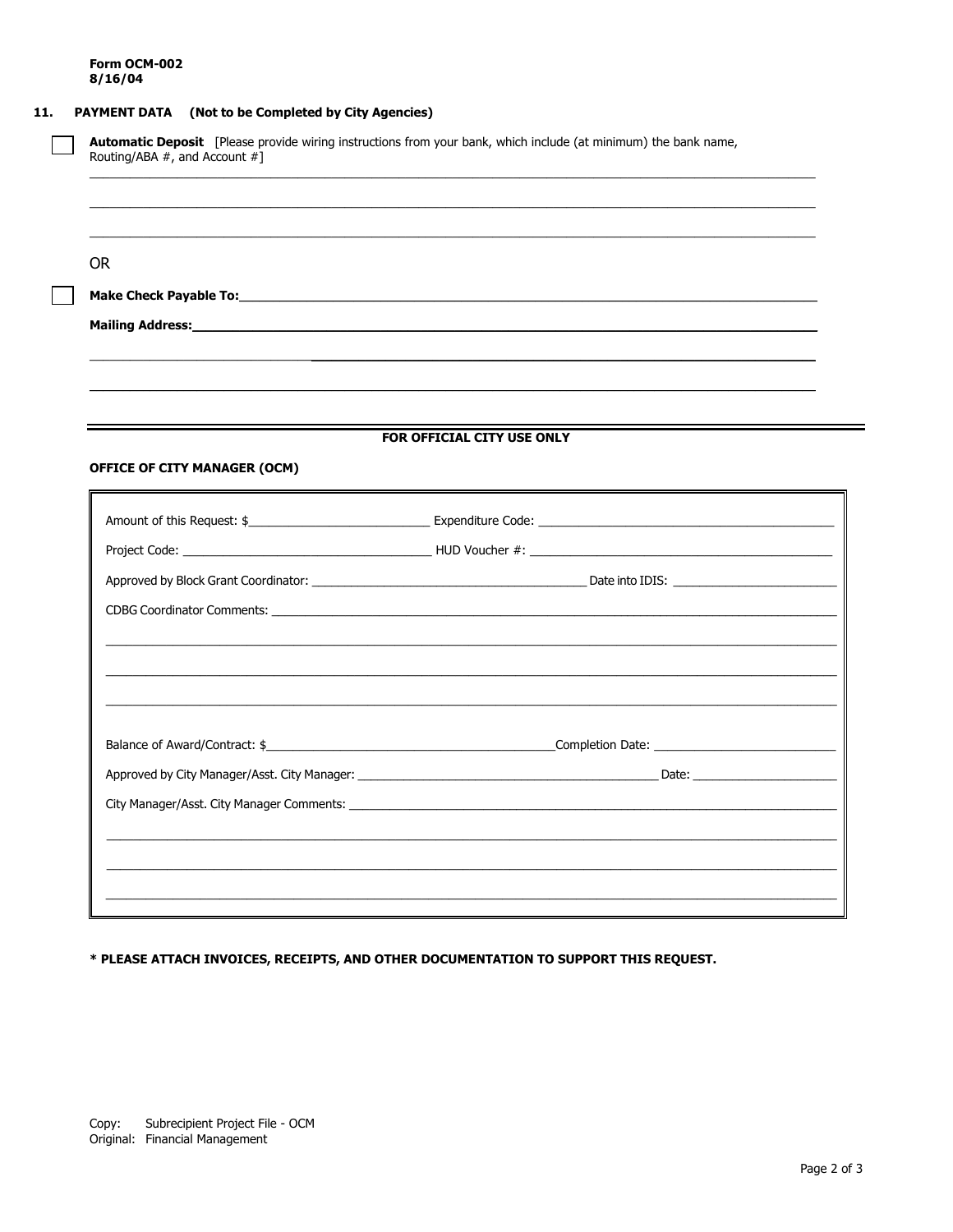## 11. PAYMENT DATA (Not to be Completed by City Agencies)

| <b>OR</b>                           |                                                                                                                                                                                                                                |
|-------------------------------------|--------------------------------------------------------------------------------------------------------------------------------------------------------------------------------------------------------------------------------|
|                                     |                                                                                                                                                                                                                                |
| Mailing Address:_______________     |                                                                                                                                                                                                                                |
|                                     |                                                                                                                                                                                                                                |
|                                     |                                                                                                                                                                                                                                |
|                                     |                                                                                                                                                                                                                                |
|                                     | FOR OFFICIAL CITY USE ONLY                                                                                                                                                                                                     |
| <b>OFFICE OF CITY MANAGER (OCM)</b> |                                                                                                                                                                                                                                |
|                                     |                                                                                                                                                                                                                                |
|                                     |                                                                                                                                                                                                                                |
|                                     |                                                                                                                                                                                                                                |
|                                     |                                                                                                                                                                                                                                |
|                                     |                                                                                                                                                                                                                                |
|                                     | CDBG Coordinator Comments: League and Contract and Contract and Contract and Contract and Contract and Contract and Contract and Contract and Contract and Contract and Contract and Contract and Contract and Contract and Co |
|                                     |                                                                                                                                                                                                                                |
|                                     |                                                                                                                                                                                                                                |
|                                     |                                                                                                                                                                                                                                |
|                                     |                                                                                                                                                                                                                                |
|                                     |                                                                                                                                                                                                                                |
|                                     |                                                                                                                                                                                                                                |

\* PLEASE ATTACH INVOICES, RECEIPTS, AND OTHER DOCUMENTATION TO SUPPORT THIS REQUEST.